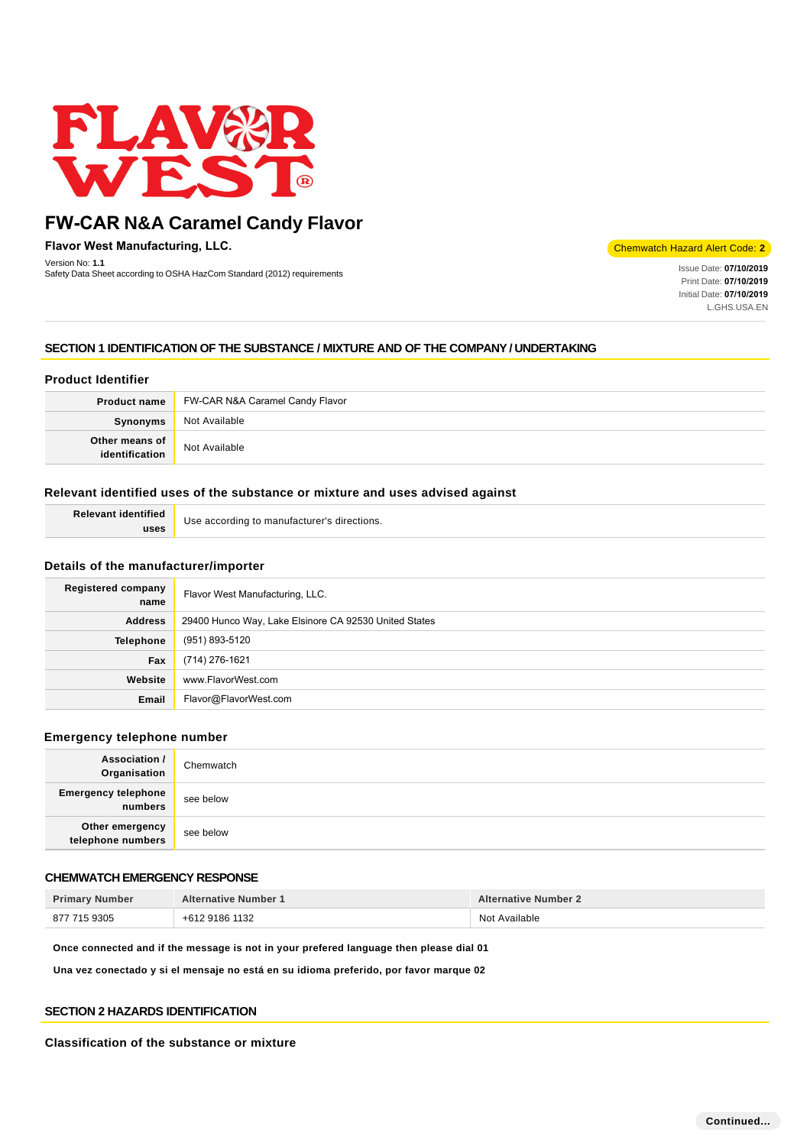

**Flavor West Manufacturing, LLC.**

Version No: **1.1** Version No: **1.1** Issue Date: **07/10/2019**<br>Safety Data Sheet according to OSHA HazCom Standard (2012) requirements International Communication of the Communication of the Communication of the Communication of the Communica

Chemwatch Hazard Alert Code: **2**

Print Date: **07/10/2019**  Initial Date: **07/10/2019**  L.GHS.USA.EN

# **SECTION 1 IDENTIFICATION OF THE SUBSTANCE / MIXTURE AND OF THE COMPANY / UNDERTAKING**

# **Product Identifier**

|                                  | <b>Product name</b> FW-CAR N&A Caramel Candy Flavor |  |
|----------------------------------|-----------------------------------------------------|--|
| Synonyms                         | Not Available                                       |  |
| Other means of<br>identification | Not Available                                       |  |

## **Relevant identified uses of the substance or mixture and uses advised against**

| <b>Relevant identified</b> | Use according to manufacturer's directions. |
|----------------------------|---------------------------------------------|
| uses                       |                                             |

### **Details of the manufacturer/importer**

| <b>Registered company</b><br>name | Flavor West Manufacturing, LLC.                       |  |
|-----------------------------------|-------------------------------------------------------|--|
| <b>Address</b>                    | 29400 Hunco Way, Lake Elsinore CA 92530 United States |  |
| <b>Telephone</b>                  | (951) 893-5120                                        |  |
| Fax                               | (714) 276-1621                                        |  |
| Website                           | www.FlavorWest.com                                    |  |
| Email                             | Flavor@FlavorWest.com                                 |  |

### **Emergency telephone number**

| <b>Association /</b><br>Organisation  | Chemwatch |
|---------------------------------------|-----------|
| <b>Emergency telephone</b><br>numbers | see below |
| Other emergency<br>telephone numbers  | see below |

# **CHEMWATCH EMERGENCY RESPONSE**

| <b>Primary Number</b> | <b>Alternative Number 1</b> | <b>Alternative Number 2</b> |
|-----------------------|-----------------------------|-----------------------------|
| 877 715 9305          | +612 9186 1132              | Not Available               |

**Once connected and if the message is not in your prefered language then please dial 01**

**Una vez conectado y si el mensaje no está en su idioma preferido, por favor marque 02**

### **SECTION 2 HAZARDS IDENTIFICATION**

**Classification of the substance or mixture**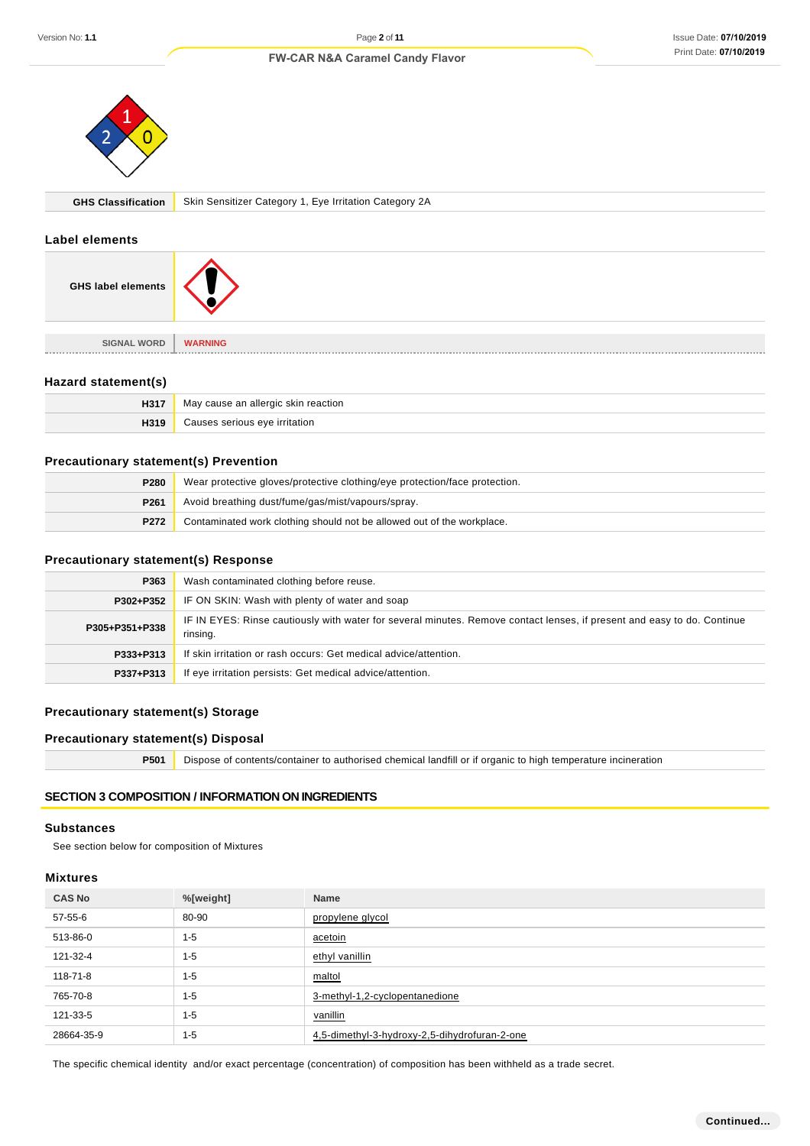

**GHS Classification** Skin Sensitizer Category 1, Eye Irritation Category 2A

#### **Label elements**

| <b>GHS label elements</b> |                |
|---------------------------|----------------|
|                           |                |
| <b>SIGNAL WORD</b>        | <b>WARNING</b> |
|                           |                |

## **Hazard statement(s)**

| H317 | v cause an allergic skin reaction.<br>May |
|------|-------------------------------------------|
|      | eve irritation                            |

#### **Precautionary statement(s) Prevention**

| P280             | Wear protective gloves/protective clothing/eye protection/face protection. |  |
|------------------|----------------------------------------------------------------------------|--|
| P <sub>261</sub> | Avoid breathing dust/fume/gas/mist/vapours/spray.                          |  |
| P272             | Contaminated work clothing should not be allowed out of the workplace.     |  |

### **Precautionary statement(s) Response**

| P363           | Wash contaminated clothing before reuse.                                                                                            |  |
|----------------|-------------------------------------------------------------------------------------------------------------------------------------|--|
| P302+P352      | IF ON SKIN: Wash with plenty of water and soap                                                                                      |  |
| P305+P351+P338 | IF IN EYES: Rinse cautiously with water for several minutes. Remove contact lenses, if present and easy to do. Continue<br>rinsing. |  |
| P333+P313      | If skin irritation or rash occurs: Get medical advice/attention.                                                                    |  |
| P337+P313      | If eye irritation persists: Get medical advice/attention.                                                                           |  |

# **Precautionary statement(s) Storage**

# **Precautionary statement(s) Disposal**

**P501** Dispose of contents/container to authorised chemical landfill or if organic to high temperature incineration

# **SECTION 3 COMPOSITION / INFORMATION ON INGREDIENTS**

#### **Substances**

See section below for composition of Mixtures

#### **Mixtures**

| <b>CAS No</b> | %[weight] | Name                                          |
|---------------|-----------|-----------------------------------------------|
| 57-55-6       | 80-90     | propylene glycol                              |
| 513-86-0      | $1 - 5$   | acetoin                                       |
| 121-32-4      | $1 - 5$   | ethyl vanillin                                |
| 118-71-8      | $1 - 5$   | maltol                                        |
| 765-70-8      | $1 - 5$   | 3-methyl-1,2-cyclopentanedione                |
| 121-33-5      | $1 - 5$   | vanillin                                      |
| 28664-35-9    | $1 - 5$   | 4,5-dimethyl-3-hydroxy-2,5-dihydrofuran-2-one |

The specific chemical identity and/or exact percentage (concentration) of composition has been withheld as a trade secret.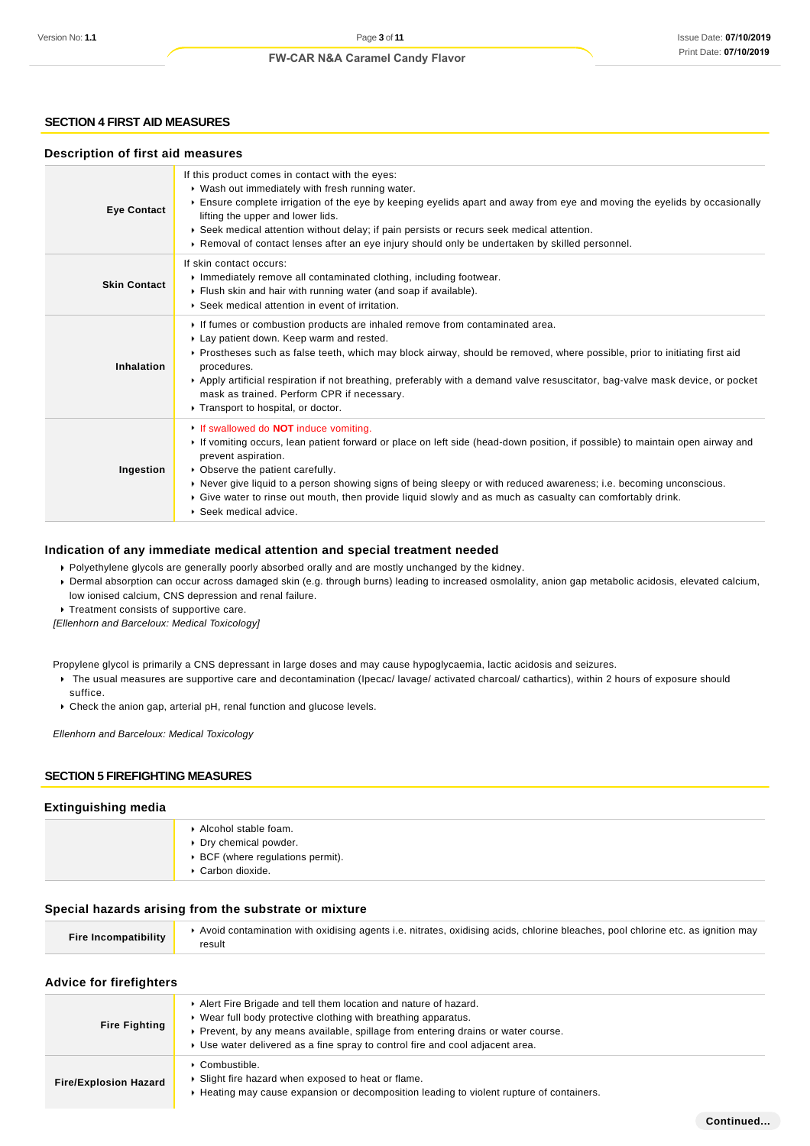### **SECTION 4 FIRST AID MEASURES**

#### **Description of first aid measures**

| <b>Eye Contact</b>                                                                                                                                                                                                                                                                                                                                                                                                                                                                                               | If this product comes in contact with the eyes:<br>▶ Wash out immediately with fresh running water.<br>Ensure complete irrigation of the eye by keeping eyelids apart and away from eye and moving the eyelids by occasionally<br>lifting the upper and lower lids.<br>▶ Seek medical attention without delay; if pain persists or recurs seek medical attention.<br>▶ Removal of contact lenses after an eye injury should only be undertaken by skilled personnel.                    |  |  |
|------------------------------------------------------------------------------------------------------------------------------------------------------------------------------------------------------------------------------------------------------------------------------------------------------------------------------------------------------------------------------------------------------------------------------------------------------------------------------------------------------------------|-----------------------------------------------------------------------------------------------------------------------------------------------------------------------------------------------------------------------------------------------------------------------------------------------------------------------------------------------------------------------------------------------------------------------------------------------------------------------------------------|--|--|
| <b>Skin Contact</b>                                                                                                                                                                                                                                                                                                                                                                                                                                                                                              | If skin contact occurs:<br>Inmediately remove all contaminated clothing, including footwear.<br>Flush skin and hair with running water (and soap if available).<br>▶ Seek medical attention in event of irritation.                                                                                                                                                                                                                                                                     |  |  |
| Inhalation                                                                                                                                                                                                                                                                                                                                                                                                                                                                                                       | If fumes or combustion products are inhaled remove from contaminated area.<br>Lay patient down. Keep warm and rested.<br>▶ Prostheses such as false teeth, which may block airway, should be removed, where possible, prior to initiating first aid<br>procedures.<br>▶ Apply artificial respiration if not breathing, preferably with a demand valve resuscitator, bag-valve mask device, or pocket<br>mask as trained. Perform CPR if necessary.<br>Transport to hospital, or doctor. |  |  |
| If swallowed do <b>NOT</b> induce vomiting.<br>If vomiting occurs, lean patient forward or place on left side (head-down position, if possible) to maintain open airway and<br>prevent aspiration.<br>• Observe the patient carefully.<br>Ingestion<br>▶ Never give liquid to a person showing signs of being sleepy or with reduced awareness; i.e. becoming unconscious.<br>► Give water to rinse out mouth, then provide liquid slowly and as much as casualty can comfortably drink.<br>Seek medical advice. |                                                                                                                                                                                                                                                                                                                                                                                                                                                                                         |  |  |

#### **Indication of any immediate medical attention and special treatment needed**

Polyethylene glycols are generally poorly absorbed orally and are mostly unchanged by the kidney.

Dermal absorption can occur across damaged skin (e.g. through burns) leading to increased osmolality, anion gap metabolic acidosis, elevated calcium, low ionised calcium, CNS depression and renal failure.

Treatment consists of supportive care.

[Ellenhorn and Barceloux: Medical Toxicology]

Propylene glycol is primarily a CNS depressant in large doses and may cause hypoglycaemia, lactic acidosis and seizures.

- ▶ The usual measures are supportive care and decontamination (Ipecac/ lavage/ activated charcoal/ cathartics), within 2 hours of exposure should suffice.
- Check the anion gap, arterial pH, renal function and glucose levels.

Ellenhorn and Barceloux: Medical Toxicology

#### **SECTION 5 FIREFIGHTING MEASURES**

#### **Extinguishing media**

| Alcohol stable foam.<br>Dry chemical powder.<br>▶ BCF (where regulations permit).<br>Carbon dioxide. |
|------------------------------------------------------------------------------------------------------|
|                                                                                                      |

#### **Special hazards arising from the substrate or mixture**

| <b>Fire Incompatibility</b> | Avoid contamination with oxidising agents i.e. nitrates, oxidising acids, chlorine bleaches, pool chlorine etc. as ignition may |
|-----------------------------|---------------------------------------------------------------------------------------------------------------------------------|
|                             | result                                                                                                                          |

#### **Advice for firefighters**

| <b>Fire Fighting</b>         | Alert Fire Brigade and tell them location and nature of hazard.<br>▶ Wear full body protective clothing with breathing apparatus.<br>• Prevent, by any means available, spillage from entering drains or water course.<br>► Use water delivered as a fine spray to control fire and cool adjacent area. |
|------------------------------|---------------------------------------------------------------------------------------------------------------------------------------------------------------------------------------------------------------------------------------------------------------------------------------------------------|
| <b>Fire/Explosion Hazard</b> | $\triangleright$ Combustible.<br>Slight fire hazard when exposed to heat or flame.<br>► Heating may cause expansion or decomposition leading to violent rupture of containers.                                                                                                                          |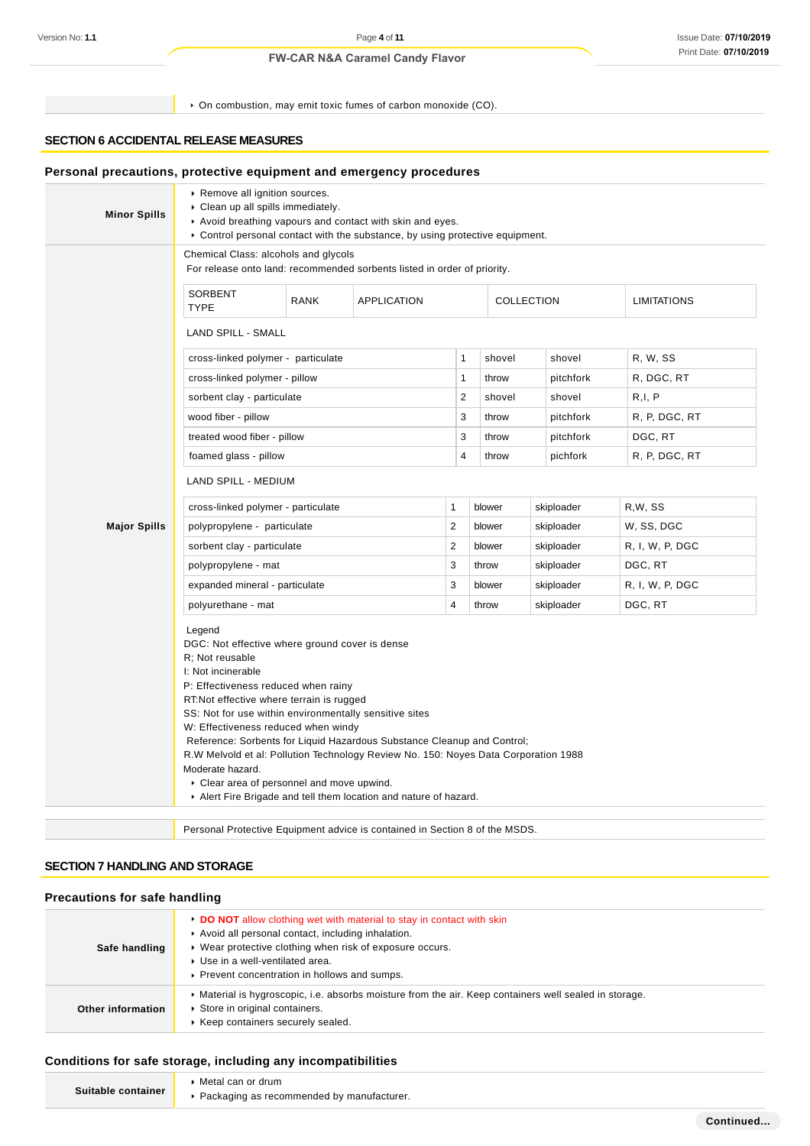On combustion, may emit toxic fumes of carbon monoxide (CO).

# **SECTION 6 ACCIDENTAL RELEASE MEASURES**

| <b>Minor Spills</b> | Remove all ignition sources.<br>Clean up all spills immediately.<br>Avoid breathing vapours and contact with skin and eyes.<br>► Control personal contact with the substance, by using protective equipment.                                                                                                                                                                                                                                                                                                               |             |                                  |                         |                    |            |                 |
|---------------------|----------------------------------------------------------------------------------------------------------------------------------------------------------------------------------------------------------------------------------------------------------------------------------------------------------------------------------------------------------------------------------------------------------------------------------------------------------------------------------------------------------------------------|-------------|----------------------------------|-------------------------|--------------------|------------|-----------------|
|                     | Chemical Class: alcohols and glycols<br>For release onto land: recommended sorbents listed in order of priority.                                                                                                                                                                                                                                                                                                                                                                                                           |             |                                  |                         |                    |            |                 |
|                     | SORBENT<br><b>TYPE</b>                                                                                                                                                                                                                                                                                                                                                                                                                                                                                                     | <b>RANK</b> | <b>APPLICATION</b><br>COLLECTION |                         | <b>LIMITATIONS</b> |            |                 |
|                     | <b>LAND SPILL - SMALL</b>                                                                                                                                                                                                                                                                                                                                                                                                                                                                                                  |             |                                  |                         |                    |            |                 |
|                     | cross-linked polymer - particulate                                                                                                                                                                                                                                                                                                                                                                                                                                                                                         |             |                                  | 1                       | shovel             | shovel     | R, W, SS        |
|                     | cross-linked polymer - pillow                                                                                                                                                                                                                                                                                                                                                                                                                                                                                              |             |                                  | $\mathbf{1}$            | throw              | pitchfork  | R, DGC, RT      |
|                     | sorbent clay - particulate                                                                                                                                                                                                                                                                                                                                                                                                                                                                                                 |             |                                  | 2                       | shovel             | shovel     | R,I, P          |
|                     | wood fiber - pillow                                                                                                                                                                                                                                                                                                                                                                                                                                                                                                        |             |                                  | 3                       | throw              | pitchfork  | R, P, DGC, RT   |
|                     | treated wood fiber - pillow                                                                                                                                                                                                                                                                                                                                                                                                                                                                                                |             |                                  | 3                       | throw              | pitchfork  | DGC, RT         |
|                     | foamed glass - pillow                                                                                                                                                                                                                                                                                                                                                                                                                                                                                                      |             |                                  | $\overline{4}$          | throw              | pichfork   | R, P, DGC, RT   |
|                     | LAND SPILL - MEDIUM                                                                                                                                                                                                                                                                                                                                                                                                                                                                                                        |             |                                  |                         |                    |            |                 |
|                     | cross-linked polymer - particulate                                                                                                                                                                                                                                                                                                                                                                                                                                                                                         |             | $\mathbf{1}$                     | blower                  | skiploader         | R,W, SS    |                 |
| <b>Major Spills</b> | polypropylene - particulate                                                                                                                                                                                                                                                                                                                                                                                                                                                                                                |             |                                  | $\overline{\mathbf{c}}$ | blower             | skiploader | W, SS, DGC      |
|                     | sorbent clay - particulate                                                                                                                                                                                                                                                                                                                                                                                                                                                                                                 |             |                                  | $\overline{2}$          | blower             | skiploader | R, I, W, P, DGC |
|                     | polypropylene - mat                                                                                                                                                                                                                                                                                                                                                                                                                                                                                                        |             |                                  | 3                       | throw              | skiploader | DGC, RT         |
|                     | expanded mineral - particulate                                                                                                                                                                                                                                                                                                                                                                                                                                                                                             |             |                                  | 3                       | blower             | skiploader | R, I, W, P, DGC |
|                     | polyurethane - mat                                                                                                                                                                                                                                                                                                                                                                                                                                                                                                         |             |                                  | 4                       | throw              | skiploader | DGC, RT         |
|                     | Legend<br>DGC: Not effective where ground cover is dense<br>R: Not reusable<br>I: Not incinerable<br>P: Effectiveness reduced when rainy<br>RT: Not effective where terrain is rugged<br>SS: Not for use within environmentally sensitive sites<br>W: Effectiveness reduced when windy<br>Reference: Sorbents for Liquid Hazardous Substance Cleanup and Control;<br>R.W Melvold et al: Pollution Technology Review No. 150: Noyes Data Corporation 1988<br>Moderate hazard.<br>• Clear area of personnel and move upwind. |             |                                  |                         |                    |            |                 |

# **SECTION 7 HANDLING AND STORAGE**

### **Precautions for safe handling**

| Safe handling     | ► DO NOT allow clothing wet with material to stay in contact with skin<br>Avoid all personal contact, including inhalation.<br>▶ Wear protective clothing when risk of exposure occurs.<br>▶ Use in a well-ventilated area.<br>▶ Prevent concentration in hollows and sumps. |
|-------------------|------------------------------------------------------------------------------------------------------------------------------------------------------------------------------------------------------------------------------------------------------------------------------|
| Other information | Material is hygroscopic, i.e. absorbs moisture from the air. Keep containers well sealed in storage.<br>Store in original containers.<br>▶ Keep containers securely sealed.                                                                                                  |

### **Conditions for safe storage, including any incompatibilities**

|                    | Metal can or drum                           |
|--------------------|---------------------------------------------|
| Suitable container | ▶ Packaging as recommended by manufacturer. |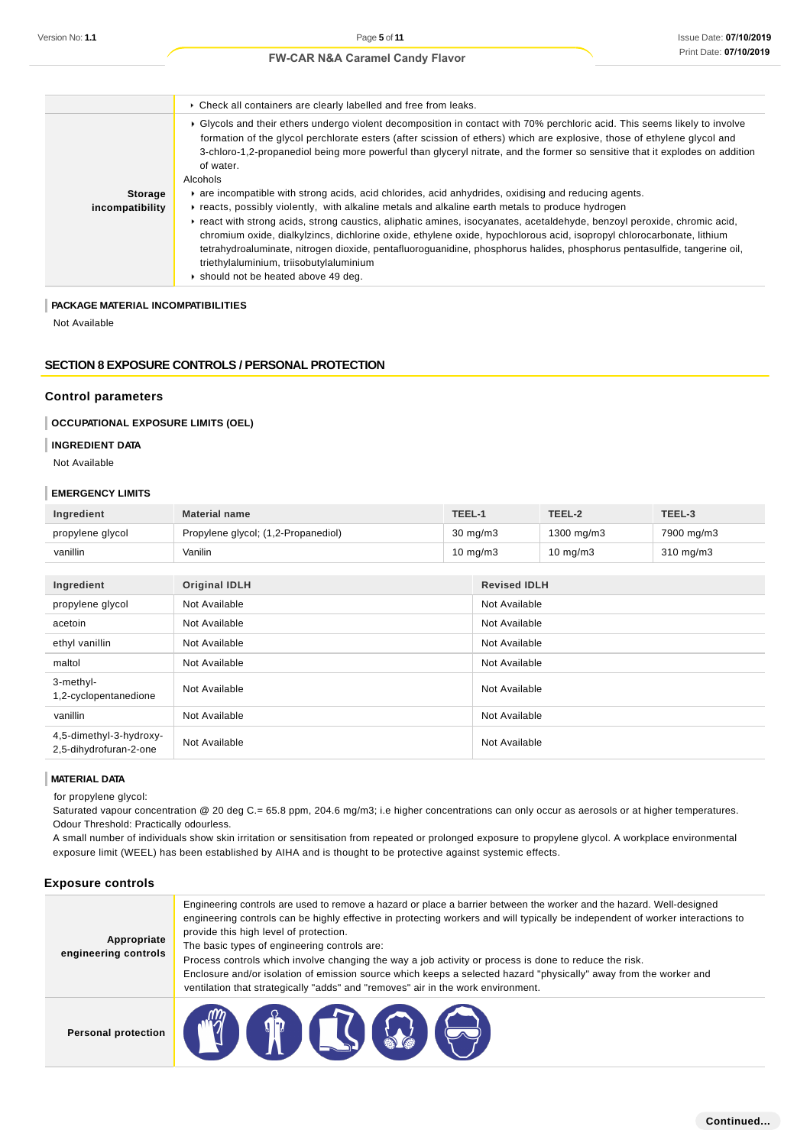|                 | • Check all containers are clearly labelled and free from leaks.                                                                                                                                                                                                                                                                                                                                                                                                |
|-----------------|-----------------------------------------------------------------------------------------------------------------------------------------------------------------------------------------------------------------------------------------------------------------------------------------------------------------------------------------------------------------------------------------------------------------------------------------------------------------|
|                 | ► Glycols and their ethers undergo violent decomposition in contact with 70% perchloric acid. This seems likely to involve<br>formation of the glycol perchlorate esters (after scission of ethers) which are explosive, those of ethylene glycol and<br>3-chloro-1,2-propanediol being more powerful than glyceryl nitrate, and the former so sensitive that it explodes on addition<br>of water.<br>Alcohols                                                  |
| <b>Storage</b>  | are incompatible with strong acids, acid chlorides, acid anhydrides, oxidising and reducing agents.                                                                                                                                                                                                                                                                                                                                                             |
| incompatibility | reacts, possibly violently, with alkaline metals and alkaline earth metals to produce hydrogen                                                                                                                                                                                                                                                                                                                                                                  |
|                 | Freact with strong acids, strong caustics, aliphatic amines, isocyanates, acetaldehyde, benzoyl peroxide, chromic acid,<br>chromium oxide, dialkylzincs, dichlorine oxide, ethylene oxide, hypochlorous acid, isopropyl chlorocarbonate, lithium<br>tetrahydroaluminate, nitrogen dioxide, pentafluoroguanidine, phosphorus halides, phosphorus pentasulfide, tangerine oil,<br>triethylaluminium, triisobutylaluminium<br>• should not be heated above 49 deg. |

### **PACKAGE MATERIAL INCOMPATIBILITIES**

Not Available

# **SECTION 8 EXPOSURE CONTROLS / PERSONAL PROTECTION**

#### **Control parameters**

### **OCCUPATIONAL EXPOSURE LIMITS (OEL)**

#### **INGREDIENT DATA**

Not Available

#### **EMERGENCY LIMITS**

| Ingredient                                        | <b>Material name</b>                | TEEL-1 |                     | TEEL-2      | TEEL-3         |
|---------------------------------------------------|-------------------------------------|--------|---------------------|-------------|----------------|
| propylene glycol                                  | Propylene glycol; (1,2-Propanediol) |        | $30 \text{ mg/m}$   | 1300 mg/m3  | 7900 mg/m3     |
| vanillin                                          | Vanilin                             |        | $10 \text{ mg/m}$ 3 | 10 mg/m $3$ | $310$ mg/m $3$ |
|                                                   |                                     |        |                     |             |                |
| Ingredient                                        | <b>Original IDLH</b>                |        | <b>Revised IDLH</b> |             |                |
| propylene glycol                                  | Not Available                       |        | Not Available       |             |                |
| acetoin                                           | Not Available                       |        | Not Available       |             |                |
| ethyl vanillin                                    | Not Available                       |        | Not Available       |             |                |
| maltol                                            | Not Available                       |        | Not Available       |             |                |
| 3-methyl-<br>1,2-cyclopentanedione                | Not Available                       |        | Not Available       |             |                |
| vanillin                                          | Not Available                       |        | Not Available       |             |                |
| 4,5-dimethyl-3-hydroxy-<br>2,5-dihydrofuran-2-one | Not Available                       |        | Not Available       |             |                |

#### **MATERIAL DATA**

for propylene glycol:

Saturated vapour concentration @ 20 deg C.= 65.8 ppm, 204.6 mg/m3; i.e higher concentrations can only occur as aerosols or at higher temperatures. Odour Threshold: Practically odourless.

A small number of individuals show skin irritation or sensitisation from repeated or prolonged exposure to propylene glycol. A workplace environmental exposure limit (WEEL) has been established by AIHA and is thought to be protective against systemic effects.

# **Exposure controls**

| Appropriate<br>engineering controls | Engineering controls are used to remove a hazard or place a barrier between the worker and the hazard. Well-designed<br>engineering controls can be highly effective in protecting workers and will typically be independent of worker interactions to<br>provide this high level of protection.<br>The basic types of engineering controls are:<br>Process controls which involve changing the way a job activity or process is done to reduce the risk.<br>Enclosure and/or isolation of emission source which keeps a selected hazard "physically" away from the worker and<br>ventilation that strategically "adds" and "removes" air in the work environment. |
|-------------------------------------|--------------------------------------------------------------------------------------------------------------------------------------------------------------------------------------------------------------------------------------------------------------------------------------------------------------------------------------------------------------------------------------------------------------------------------------------------------------------------------------------------------------------------------------------------------------------------------------------------------------------------------------------------------------------|
| <b>Personal protection</b>          | $\mathbf{E}$                                                                                                                                                                                                                                                                                                                                                                                                                                                                                                                                                                                                                                                       |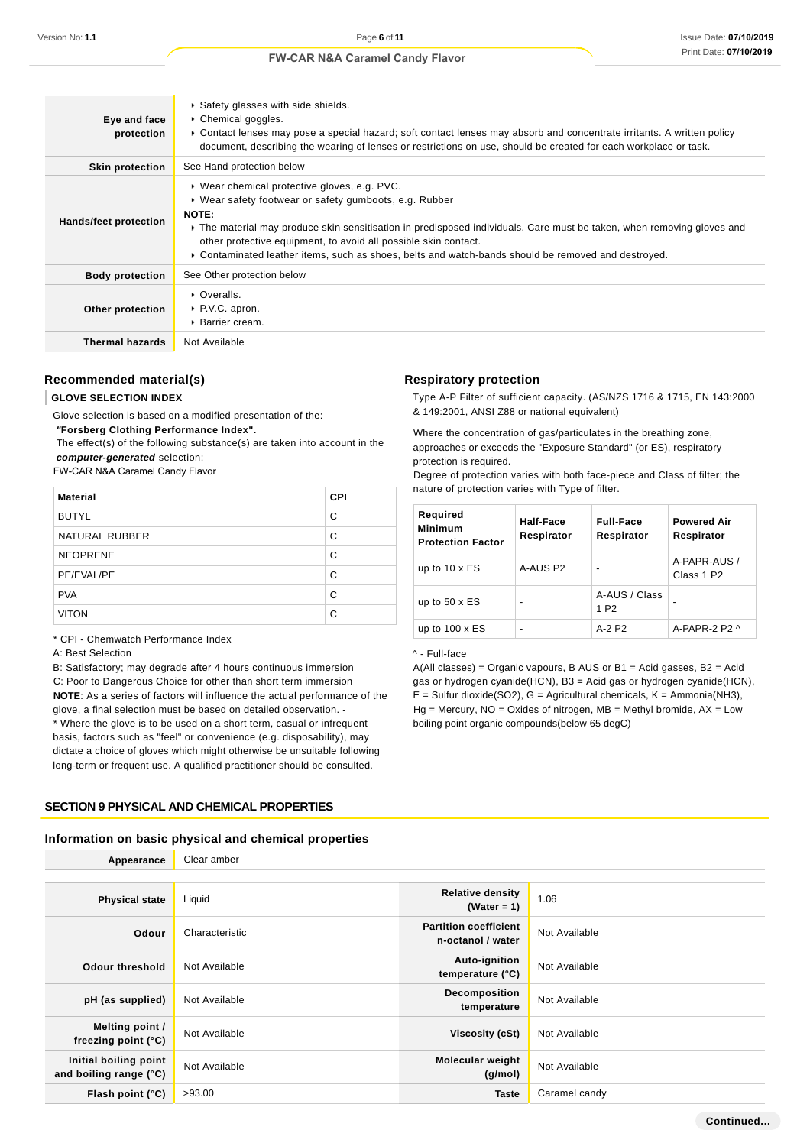| Eye and face<br>protection | ▶ Safety glasses with side shields.<br>▶ Chemical goggles.<br>► Contact lenses may pose a special hazard; soft contact lenses may absorb and concentrate irritants. A written policy<br>document, describing the wearing of lenses or restrictions on use, should be created for each workplace or task.                                                                                                            |
|----------------------------|---------------------------------------------------------------------------------------------------------------------------------------------------------------------------------------------------------------------------------------------------------------------------------------------------------------------------------------------------------------------------------------------------------------------|
| <b>Skin protection</b>     | See Hand protection below                                                                                                                                                                                                                                                                                                                                                                                           |
| Hands/feet protection      | ▶ Wear chemical protective gloves, e.g. PVC.<br>• Wear safety footwear or safety gumboots, e.g. Rubber<br>NOTE:<br>► The material may produce skin sensitisation in predisposed individuals. Care must be taken, when removing gloves and<br>other protective equipment, to avoid all possible skin contact.<br>► Contaminated leather items, such as shoes, belts and watch-bands should be removed and destroyed. |
| <b>Body protection</b>     | See Other protection below                                                                                                                                                                                                                                                                                                                                                                                          |
| Other protection           | • Overalls.<br>$\triangleright$ PV.C. apron.<br>▶ Barrier cream.                                                                                                                                                                                                                                                                                                                                                    |
| <b>Thermal hazards</b>     | Not Available                                                                                                                                                                                                                                                                                                                                                                                                       |

# **Recommended material(s)**

### **GLOVE SELECTION INDEX**

Glove selection is based on a modified presentation of the:

 **"Forsberg Clothing Performance Index".**

 The effect(s) of the following substance(s) are taken into account in the **computer-generated** selection:

FW-CAR N&A Caramel Candy Flavor

| <b>Material</b> | <b>CPI</b> |
|-----------------|------------|
| <b>BUTYL</b>    | C          |
| NATURAL RUBBER  | C          |
| <b>NEOPRENE</b> | C          |
| PE/EVAL/PE      | C          |
| <b>PVA</b>      | C          |
| <b>VITON</b>    | C          |

\* CPI - Chemwatch Performance Index

A: Best Selection

B: Satisfactory; may degrade after 4 hours continuous immersion C: Poor to Dangerous Choice for other than short term immersion **NOTE**: As a series of factors will influence the actual performance of the glove, a final selection must be based on detailed observation. - \* Where the glove is to be used on a short term, casual or infrequent basis, factors such as "feel" or convenience (e.g. disposability), may dictate a choice of gloves which might otherwise be unsuitable following long-term or frequent use. A qualified practitioner should be consulted.

### **SECTION 9 PHYSICAL AND CHEMICAL PROPERTIES**

### **Information on basic physical and chemical properties**

| Appearance                                      | Clear amber    |                                                   |               |
|-------------------------------------------------|----------------|---------------------------------------------------|---------------|
|                                                 |                |                                                   |               |
| <b>Physical state</b>                           | Liquid         | <b>Relative density</b><br>(Water = 1)            | 1.06          |
| Odour                                           | Characteristic | <b>Partition coefficient</b><br>n-octanol / water | Not Available |
| <b>Odour threshold</b>                          | Not Available  | Auto-ignition<br>temperature (°C)                 | Not Available |
| pH (as supplied)                                | Not Available  | Decomposition<br>temperature                      | Not Available |
| Melting point /<br>freezing point $(°C)$        | Not Available  | Viscosity (cSt)                                   | Not Available |
| Initial boiling point<br>and boiling range (°C) | Not Available  | <b>Molecular weight</b><br>(g/mol)                | Not Available |
| Flash point (°C)                                | >93.00         | <b>Taste</b>                                      | Caramel candy |

### **Respiratory protection**

Type A-P Filter of sufficient capacity. (AS/NZS 1716 & 1715, EN 143:2000 & 149:2001, ANSI Z88 or national equivalent)

Where the concentration of gas/particulates in the breathing zone, approaches or exceeds the "Exposure Standard" (or ES), respiratory protection is required.

Degree of protection varies with both face-piece and Class of filter; the nature of protection varies with Type of filter.

| Required<br><b>Minimum</b><br><b>Protection Factor</b> | Half-Face<br>Respirator | <b>Full-Face</b><br>Respirator    | <b>Powered Air</b><br>Respirator       |
|--------------------------------------------------------|-------------------------|-----------------------------------|----------------------------------------|
| up to $10 \times ES$                                   | A-AUS P2                |                                   | A-PAPR-AUS /<br>Class 1 P <sub>2</sub> |
| up to $50 \times ES$                                   | $\blacksquare$          | A-AUS / Class<br>1 P <sub>2</sub> |                                        |
| up to $100 \times ES$                                  | $\blacksquare$          | $A-2$ P <sub>2</sub>              | A-PAPR-2 P2 $\land$                    |

## ^ - Full-face

A(All classes) = Organic vapours, B AUS or B1 = Acid gasses, B2 = Acid gas or hydrogen cyanide(HCN), B3 = Acid gas or hydrogen cyanide(HCN),  $E =$  Sulfur dioxide(SO2), G = Agricultural chemicals, K = Ammonia(NH3),  $Hg =$  Mercury,  $NO =$  Oxides of nitrogen,  $MB =$  Methyl bromide,  $AX =$  Low boiling point organic compounds(below 65 degC)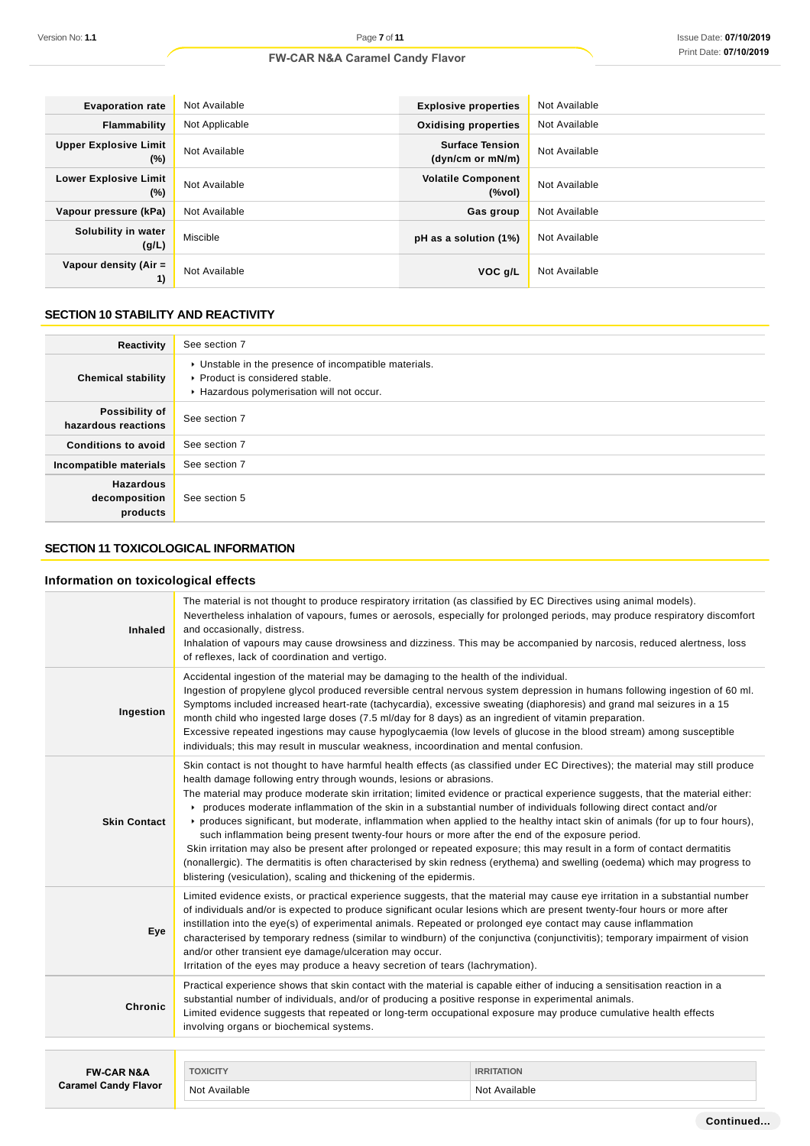| <b>Evaporation rate</b>                | Not Available  | <b>Explosive properties</b>                | Not Available |
|----------------------------------------|----------------|--------------------------------------------|---------------|
| Flammability                           | Not Applicable | <b>Oxidising properties</b>                | Not Available |
| <b>Upper Explosive Limit</b><br>$(\%)$ | Not Available  | <b>Surface Tension</b><br>(dyn/cm or mN/m) | Not Available |
| <b>Lower Explosive Limit</b><br>$(\%)$ | Not Available  | <b>Volatile Component</b><br>(%vol)        | Not Available |
| Vapour pressure (kPa)                  | Not Available  | Gas group                                  | Not Available |
| Solubility in water<br>(g/L)           | Miscible       | pH as a solution (1%)                      | Not Available |
| Vapour density (Air =<br>1)            | Not Available  | VOC q/L                                    | Not Available |

# **SECTION 10 STABILITY AND REACTIVITY**

| Reactivity                                    | See section 7                                                                                                                        |
|-----------------------------------------------|--------------------------------------------------------------------------------------------------------------------------------------|
| <b>Chemical stability</b>                     | • Unstable in the presence of incompatible materials.<br>▶ Product is considered stable.<br>Hazardous polymerisation will not occur. |
| Possibility of<br>hazardous reactions         | See section 7                                                                                                                        |
| <b>Conditions to avoid</b>                    | See section 7                                                                                                                        |
| Incompatible materials                        | See section 7                                                                                                                        |
| <b>Hazardous</b><br>decomposition<br>products | See section 5                                                                                                                        |

# **SECTION 11 TOXICOLOGICAL INFORMATION**

# **Information on toxicological effects**

| <b>Inhaled</b>              | The material is not thought to produce respiratory irritation (as classified by EC Directives using animal models).<br>Nevertheless inhalation of vapours, fumes or aerosols, especially for prolonged periods, may produce respiratory discomfort<br>and occasionally, distress.<br>Inhalation of vapours may cause drowsiness and dizziness. This may be accompanied by narcosis, reduced alertness, loss<br>of reflexes, lack of coordination and vertigo.                                                                                                                                                                                                                                                                                                                                                                                                                                                                                                                                                                          |                   |  |
|-----------------------------|----------------------------------------------------------------------------------------------------------------------------------------------------------------------------------------------------------------------------------------------------------------------------------------------------------------------------------------------------------------------------------------------------------------------------------------------------------------------------------------------------------------------------------------------------------------------------------------------------------------------------------------------------------------------------------------------------------------------------------------------------------------------------------------------------------------------------------------------------------------------------------------------------------------------------------------------------------------------------------------------------------------------------------------|-------------------|--|
| Ingestion                   | Accidental ingestion of the material may be damaging to the health of the individual.<br>Ingestion of propylene glycol produced reversible central nervous system depression in humans following ingestion of 60 ml.<br>Symptoms included increased heart-rate (tachycardia), excessive sweating (diaphoresis) and grand mal seizures in a 15<br>month child who ingested large doses (7.5 ml/day for 8 days) as an ingredient of vitamin preparation.<br>Excessive repeated ingestions may cause hypoglycaemia (low levels of glucose in the blood stream) among susceptible<br>individuals; this may result in muscular weakness, incoordination and mental confusion.                                                                                                                                                                                                                                                                                                                                                               |                   |  |
| <b>Skin Contact</b>         | Skin contact is not thought to have harmful health effects (as classified under EC Directives); the material may still produce<br>health damage following entry through wounds, lesions or abrasions.<br>The material may produce moderate skin irritation; limited evidence or practical experience suggests, that the material either:<br>• produces moderate inflammation of the skin in a substantial number of individuals following direct contact and/or<br>▶ produces significant, but moderate, inflammation when applied to the healthy intact skin of animals (for up to four hours),<br>such inflammation being present twenty-four hours or more after the end of the exposure period.<br>Skin irritation may also be present after prolonged or repeated exposure; this may result in a form of contact dermatitis<br>(nonallergic). The dermatitis is often characterised by skin redness (erythema) and swelling (oedema) which may progress to<br>blistering (vesiculation), scaling and thickening of the epidermis. |                   |  |
| Eye                         | Limited evidence exists, or practical experience suggests, that the material may cause eye irritation in a substantial number<br>of individuals and/or is expected to produce significant ocular lesions which are present twenty-four hours or more after<br>instillation into the eye(s) of experimental animals. Repeated or prolonged eye contact may cause inflammation<br>characterised by temporary redness (similar to windburn) of the conjunctiva (conjunctivitis); temporary impairment of vision<br>and/or other transient eye damage/ulceration may occur.<br>Irritation of the eyes may produce a heavy secretion of tears (lachrymation).                                                                                                                                                                                                                                                                                                                                                                               |                   |  |
| Chronic                     | Practical experience shows that skin contact with the material is capable either of inducing a sensitisation reaction in a<br>substantial number of individuals, and/or of producing a positive response in experimental animals.<br>Limited evidence suggests that repeated or long-term occupational exposure may produce cumulative health effects<br>involving organs or biochemical systems.                                                                                                                                                                                                                                                                                                                                                                                                                                                                                                                                                                                                                                      |                   |  |
|                             |                                                                                                                                                                                                                                                                                                                                                                                                                                                                                                                                                                                                                                                                                                                                                                                                                                                                                                                                                                                                                                        |                   |  |
| <b>FW-CAR N&amp;A</b>       | <b>TOXICITY</b>                                                                                                                                                                                                                                                                                                                                                                                                                                                                                                                                                                                                                                                                                                                                                                                                                                                                                                                                                                                                                        | <b>IRRITATION</b> |  |
| <b>Caramel Candy Flavor</b> | Not Available                                                                                                                                                                                                                                                                                                                                                                                                                                                                                                                                                                                                                                                                                                                                                                                                                                                                                                                                                                                                                          | Not Available     |  |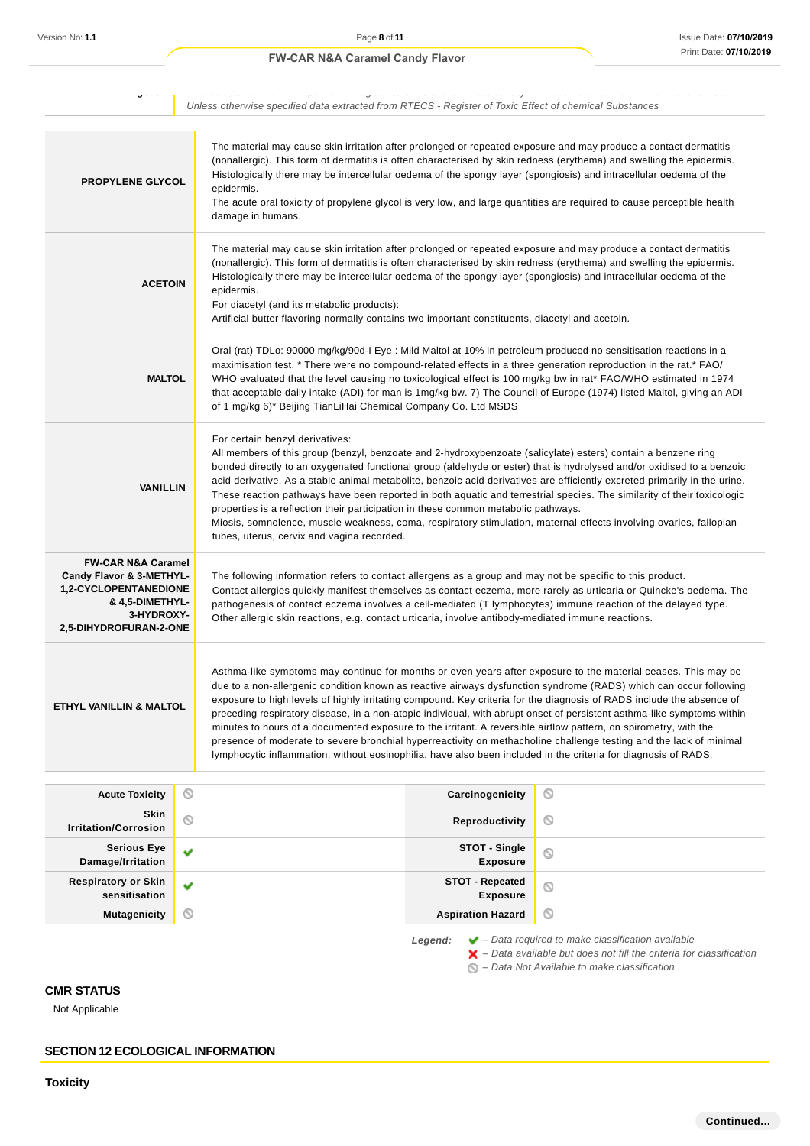| --g----                                                                                                                                                         |   | meriri regioloroa espolantoek yiloale londiy myytä vallas oplaines non manaistalen ovitolois                                                                                                                                                                                                                                                                                                                                                                                                                                                                                                                                                                                                                                                                                                                                                     |   |  |  |
|-----------------------------------------------------------------------------------------------------------------------------------------------------------------|---|--------------------------------------------------------------------------------------------------------------------------------------------------------------------------------------------------------------------------------------------------------------------------------------------------------------------------------------------------------------------------------------------------------------------------------------------------------------------------------------------------------------------------------------------------------------------------------------------------------------------------------------------------------------------------------------------------------------------------------------------------------------------------------------------------------------------------------------------------|---|--|--|
|                                                                                                                                                                 |   | Unless otherwise specified data extracted from RTECS - Register of Toxic Effect of chemical Substances                                                                                                                                                                                                                                                                                                                                                                                                                                                                                                                                                                                                                                                                                                                                           |   |  |  |
| <b>PROPYLENE GLYCOL</b>                                                                                                                                         |   | The material may cause skin irritation after prolonged or repeated exposure and may produce a contact dermatitis<br>(nonallergic). This form of dermatitis is often characterised by skin redness (erythema) and swelling the epidermis.<br>Histologically there may be intercellular oedema of the spongy layer (spongiosis) and intracellular oedema of the<br>epidermis.<br>The acute oral toxicity of propylene glycol is very low, and large quantities are required to cause perceptible health<br>damage in humans.                                                                                                                                                                                                                                                                                                                       |   |  |  |
| <b>ACETOIN</b>                                                                                                                                                  |   | The material may cause skin irritation after prolonged or repeated exposure and may produce a contact dermatitis<br>(nonallergic). This form of dermatitis is often characterised by skin redness (erythema) and swelling the epidermis.<br>Histologically there may be intercellular oedema of the spongy layer (spongiosis) and intracellular oedema of the<br>epidermis.<br>For diacetyl (and its metabolic products):<br>Artificial butter flavoring normally contains two important constituents, diacetyl and acetoin.                                                                                                                                                                                                                                                                                                                     |   |  |  |
| <b>MALTOL</b>                                                                                                                                                   |   | Oral (rat) TDLo: 90000 mg/kg/90d-I Eye : Mild Maltol at 10% in petroleum produced no sensitisation reactions in a<br>maximisation test. * There were no compound-related effects in a three generation reproduction in the rat. * FAO/<br>WHO evaluated that the level causing no toxicological effect is 100 mg/kg bw in rat* FAO/WHO estimated in 1974<br>that acceptable daily intake (ADI) for man is 1mg/kg bw. 7) The Council of Europe (1974) listed Maltol, giving an ADI<br>of 1 mg/kg 6)* Beijing TianLiHai Chemical Company Co. Ltd MSDS                                                                                                                                                                                                                                                                                              |   |  |  |
| <b>VANILLIN</b>                                                                                                                                                 |   | For certain benzyl derivatives:<br>All members of this group (benzyl, benzoate and 2-hydroxybenzoate (salicylate) esters) contain a benzene ring<br>bonded directly to an oxygenated functional group (aldehyde or ester) that is hydrolysed and/or oxidised to a benzoic<br>acid derivative. As a stable animal metabolite, benzoic acid derivatives are efficiently excreted primarily in the urine.<br>These reaction pathways have been reported in both aquatic and terrestrial species. The similarity of their toxicologic<br>properties is a reflection their participation in these common metabolic pathways.<br>Miosis, somnolence, muscle weakness, coma, respiratory stimulation, maternal effects involving ovaries, fallopian<br>tubes, uterus, cervix and vagina recorded.                                                       |   |  |  |
| <b>FW-CAR N&amp;A Caramel</b><br>Candy Flavor & 3-METHYL-<br><b>1,2-CYCLOPENTANEDIONE</b><br><b>&amp; 4,5-DIMETHYL-</b><br>3-HYDROXY-<br>2,5-DIHYDROFURAN-2-ONE |   | The following information refers to contact allergens as a group and may not be specific to this product.<br>Contact allergies quickly manifest themselves as contact eczema, more rarely as urticaria or Quincke's oedema. The<br>pathogenesis of contact eczema involves a cell-mediated (T lymphocytes) immune reaction of the delayed type.<br>Other allergic skin reactions, e.g. contact urticaria, involve antibody-mediated immune reactions.                                                                                                                                                                                                                                                                                                                                                                                            |   |  |  |
| ETHYL VANILLIN & MALTOL                                                                                                                                         |   | Asthma-like symptoms may continue for months or even years after exposure to the material ceases. This may be<br>due to a non-allergenic condition known as reactive airways dysfunction syndrome (RADS) which can occur following<br>exposure to high levels of highly irritating compound. Key criteria for the diagnosis of RADS include the absence of<br>preceding respiratory disease, in a non-atopic individual, with abrupt onset of persistent asthma-like symptoms within<br>minutes to hours of a documented exposure to the irritant. A reversible airflow pattern, on spirometry, with the<br>presence of moderate to severe bronchial hyperreactivity on methacholine challenge testing and the lack of minimal<br>lymphocytic inflammation, without eosinophilia, have also been included in the criteria for diagnosis of RADS. |   |  |  |
| <b>Acute Toxicity</b>                                                                                                                                           | O | Carcinogenicity                                                                                                                                                                                                                                                                                                                                                                                                                                                                                                                                                                                                                                                                                                                                                                                                                                  | O |  |  |
| Skin<br><b>Irritation/Corrosion</b>                                                                                                                             | Ø | Reproductivity                                                                                                                                                                                                                                                                                                                                                                                                                                                                                                                                                                                                                                                                                                                                                                                                                                   | O |  |  |
| <b>Serious Eye</b><br>Damage/Irritation                                                                                                                         | v | STOT - Single<br><b>Exposure</b>                                                                                                                                                                                                                                                                                                                                                                                                                                                                                                                                                                                                                                                                                                                                                                                                                 | O |  |  |
| <b>Respiratory or Skin</b><br>sensitisation                                                                                                                     | v | <b>STOT - Repeated</b><br><b>Exposure</b>                                                                                                                                                                                                                                                                                                                                                                                                                                                                                                                                                                                                                                                                                                                                                                                                        | O |  |  |

**Mutagenicity Aspiration Hazard Aspiration Hazard** 

**Legend:** – Data required to make classification available

 $\blacktriangleright$  – Data available but does not fill the criteria for classification

 $\bigcirc$  – Data Not Available to make classification

# **CMR STATUS**

Not Applicable

**SECTION 12 ECOLOGICAL INFORMATION**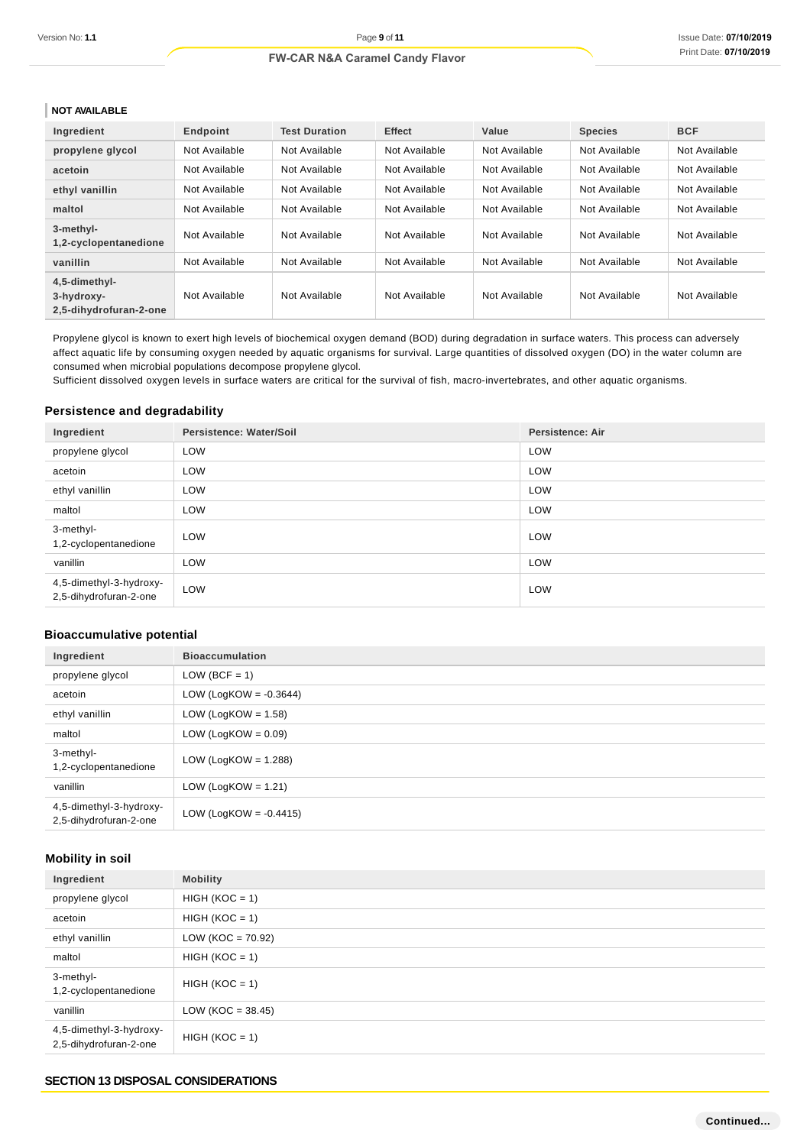# **NOT AVAILABLE**

| Ingredient                                            | Endpoint      | <b>Test Duration</b> | <b>Effect</b> | Value         | <b>Species</b> | <b>BCF</b>    |
|-------------------------------------------------------|---------------|----------------------|---------------|---------------|----------------|---------------|
| propylene glycol                                      | Not Available | Not Available        | Not Available | Not Available | Not Available  | Not Available |
| acetoin                                               | Not Available | Not Available        | Not Available | Not Available | Not Available  | Not Available |
| ethyl vanillin                                        | Not Available | Not Available        | Not Available | Not Available | Not Available  | Not Available |
| maltol                                                | Not Available | Not Available        | Not Available | Not Available | Not Available  | Not Available |
| 3-methyl-<br>1,2-cyclopentanedione                    | Not Available | Not Available        | Not Available | Not Available | Not Available  | Not Available |
| vanillin                                              | Not Available | Not Available        | Not Available | Not Available | Not Available  | Not Available |
| 4,5-dimethyl-<br>3-hydroxy-<br>2.5-dihydrofuran-2-one | Not Available | Not Available        | Not Available | Not Available | Not Available  | Not Available |

Propylene glycol is known to exert high levels of biochemical oxygen demand (BOD) during degradation in surface waters. This process can adversely affect aquatic life by consuming oxygen needed by aquatic organisms for survival. Large quantities of dissolved oxygen (DO) in the water column are consumed when microbial populations decompose propylene glycol.

Sufficient dissolved oxygen levels in surface waters are critical for the survival of fish, macro-invertebrates, and other aquatic organisms.

# **Persistence and degradability**

| Ingredient                                        | Persistence: Water/Soil | <b>Persistence: Air</b> |
|---------------------------------------------------|-------------------------|-------------------------|
| propylene glycol                                  | LOW                     | LOW                     |
| acetoin                                           | LOW                     | LOW                     |
| ethyl vanillin                                    | LOW                     | LOW                     |
| maltol                                            | LOW                     | LOW                     |
| 3-methyl-<br>1,2-cyclopentanedione                | LOW                     | LOW                     |
| vanillin                                          | LOW                     | LOW                     |
| 4,5-dimethyl-3-hydroxy-<br>2,5-dihydrofuran-2-one | LOW                     | LOW                     |

# **Bioaccumulative potential**

| Ingredient                                        | <b>Bioaccumulation</b>    |
|---------------------------------------------------|---------------------------|
| propylene glycol                                  | $LOW (BCF = 1)$           |
| acetoin                                           | LOW (LogKOW = $-0.3644$ ) |
| ethyl vanillin                                    | LOW (LogKOW = $1.58$ )    |
| maltol                                            | LOW (LogKOW = $0.09$ )    |
| 3-methyl-<br>1,2-cyclopentanedione                | LOW (LogKOW = $1.288$ )   |
| vanillin                                          | LOW (LogKOW = $1.21$ )    |
| 4,5-dimethyl-3-hydroxy-<br>2,5-dihydrofuran-2-one | LOW (LogKOW = $-0.4415$ ) |

# **Mobility in soil**

| Ingredient                                        | <b>Mobility</b>     |
|---------------------------------------------------|---------------------|
| propylene glycol                                  | $HIGH (KOC = 1)$    |
| acetoin                                           | $HIGH (KOC = 1)$    |
| ethyl vanillin                                    | $LOW (KOC = 70.92)$ |
| maltol                                            | $HIGH (KOC = 1)$    |
| 3-methyl-<br>1,2-cyclopentanedione                | $HIGH (KOC = 1)$    |
| vanillin                                          | $LOW (KOC = 38.45)$ |
| 4,5-dimethyl-3-hydroxy-<br>2,5-dihydrofuran-2-one | $HIGH (KOC = 1)$    |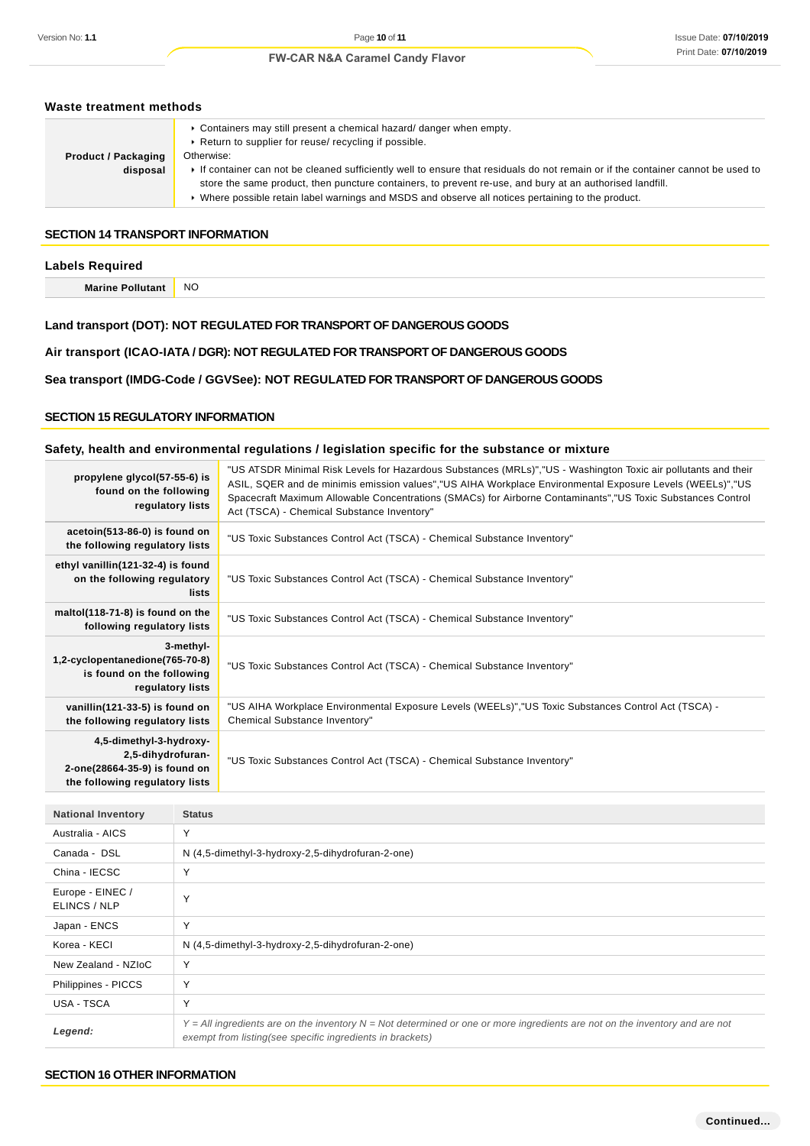| Waste treatment methods                                                            |                                                                                                                                                                                                                                                                                                                                                                                                                                                                                                |                                                                                                                                                                                                                                                                                                                                                                                          |  |  |
|------------------------------------------------------------------------------------|------------------------------------------------------------------------------------------------------------------------------------------------------------------------------------------------------------------------------------------------------------------------------------------------------------------------------------------------------------------------------------------------------------------------------------------------------------------------------------------------|------------------------------------------------------------------------------------------------------------------------------------------------------------------------------------------------------------------------------------------------------------------------------------------------------------------------------------------------------------------------------------------|--|--|
| <b>Product / Packaging</b><br>disposal                                             | ► Containers may still present a chemical hazard/ danger when empty.<br>Return to supplier for reuse/ recycling if possible.<br>Otherwise:<br>If container can not be cleaned sufficiently well to ensure that residuals do not remain or if the container cannot be used to<br>store the same product, then puncture containers, to prevent re-use, and bury at an authorised landfill.<br>▶ Where possible retain label warnings and MSDS and observe all notices pertaining to the product. |                                                                                                                                                                                                                                                                                                                                                                                          |  |  |
| <b>SECTION 14 TRANSPORT INFORMATION</b>                                            |                                                                                                                                                                                                                                                                                                                                                                                                                                                                                                |                                                                                                                                                                                                                                                                                                                                                                                          |  |  |
| <b>Labels Required</b>                                                             |                                                                                                                                                                                                                                                                                                                                                                                                                                                                                                |                                                                                                                                                                                                                                                                                                                                                                                          |  |  |
| <b>Marine Pollutant</b>                                                            | <b>NO</b>                                                                                                                                                                                                                                                                                                                                                                                                                                                                                      |                                                                                                                                                                                                                                                                                                                                                                                          |  |  |
| <b>SECTION 15 REGULATORY INFORMATION</b>                                           |                                                                                                                                                                                                                                                                                                                                                                                                                                                                                                | Sea transport (IMDG-Code / GGVSee): NOT REGULATED FOR TRANSPORT OF DANGEROUS GOODS                                                                                                                                                                                                                                                                                                       |  |  |
|                                                                                    |                                                                                                                                                                                                                                                                                                                                                                                                                                                                                                | Safety, health and environmental regulations / legislation specific for the substance or mixture                                                                                                                                                                                                                                                                                         |  |  |
| propylene glycol(57-55-6) is<br>found on the following<br>regulatory lists         |                                                                                                                                                                                                                                                                                                                                                                                                                                                                                                | "US ATSDR Minimal Risk Levels for Hazardous Substances (MRLs)","US - Washington Toxic air pollutants and their<br>ASIL, SQER and de minimis emission values","US AIHA Workplace Environmental Exposure Levels (WEELs)","US<br>Spacecraft Maximum Allowable Concentrations (SMACs) for Airborne Contaminants", "US Toxic Substances Control<br>Act (TSCA) - Chemical Substance Inventory" |  |  |
| acetoin(513-86-0) is found on<br>the following regulatory lists                    |                                                                                                                                                                                                                                                                                                                                                                                                                                                                                                | "US Toxic Substances Control Act (TSCA) - Chemical Substance Inventory"                                                                                                                                                                                                                                                                                                                  |  |  |
| ethyl vanillin(121-32-4) is found<br>on the following regulatory                   | lists                                                                                                                                                                                                                                                                                                                                                                                                                                                                                          | "US Toxic Substances Control Act (TSCA) - Chemical Substance Inventory"                                                                                                                                                                                                                                                                                                                  |  |  |
| maltol(118-71-8) is found on the<br>following regulatory lists                     |                                                                                                                                                                                                                                                                                                                                                                                                                                                                                                | "US Toxic Substances Control Act (TSCA) - Chemical Substance Inventory"                                                                                                                                                                                                                                                                                                                  |  |  |
| 1,2-cyclopentanedione(765-70-8)<br>is found on the following<br>regulatory lists   | 3-methyl-                                                                                                                                                                                                                                                                                                                                                                                                                                                                                      | "US Toxic Substances Control Act (TSCA) - Chemical Substance Inventory"                                                                                                                                                                                                                                                                                                                  |  |  |
| vanillin(121-33-5) is found on<br>the following regulatory lists                   |                                                                                                                                                                                                                                                                                                                                                                                                                                                                                                | - US AIHA Workplace Environmental Exposure Levels (WEELs)","US Toxic Substances Control Act (TSCA)"<br>Chemical Substance Inventory"                                                                                                                                                                                                                                                     |  |  |
| 4,5-dimethyl-3-hydroxy-<br>2,5-dihydrofuran-<br>$2$ anal $20664$ $250$ is found on |                                                                                                                                                                                                                                                                                                                                                                                                                                                                                                | "US Toxic Substances Control Act (TSCA) - Chemical Substance Inventory"                                                                                                                                                                                                                                                                                                                  |  |  |

| <b>National Inventory</b>        | <b>Status</b>                                                                                                                                                                                |
|----------------------------------|----------------------------------------------------------------------------------------------------------------------------------------------------------------------------------------------|
| Australia - AICS                 | $\checkmark$                                                                                                                                                                                 |
| Canada - DSL                     | N (4,5-dimethyl-3-hydroxy-2,5-dihydrofuran-2-one)                                                                                                                                            |
| China - IECSC                    |                                                                                                                                                                                              |
| Europe - EINEC /<br>ELINCS / NLP |                                                                                                                                                                                              |
| Japan - ENCS                     | $\checkmark$                                                                                                                                                                                 |
| Korea - KECI                     | N (4,5-dimethyl-3-hydroxy-2,5-dihydrofuran-2-one)                                                                                                                                            |
| New Zealand - NZIoC              | $\checkmark$                                                                                                                                                                                 |
| Philippines - PICCS              |                                                                                                                                                                                              |
| USA - TSCA                       |                                                                                                                                                                                              |
| Legend:                          | $Y = All$ ingredients are on the inventory $N = Not$ determined or one or more ingredients are not on the inventory and are not<br>exempt from listing(see specific ingredients in brackets) |

### **SECTION 16 OTHER INFORMATION**

**2-one(28664-35-9) is found on the following regulatory lists**